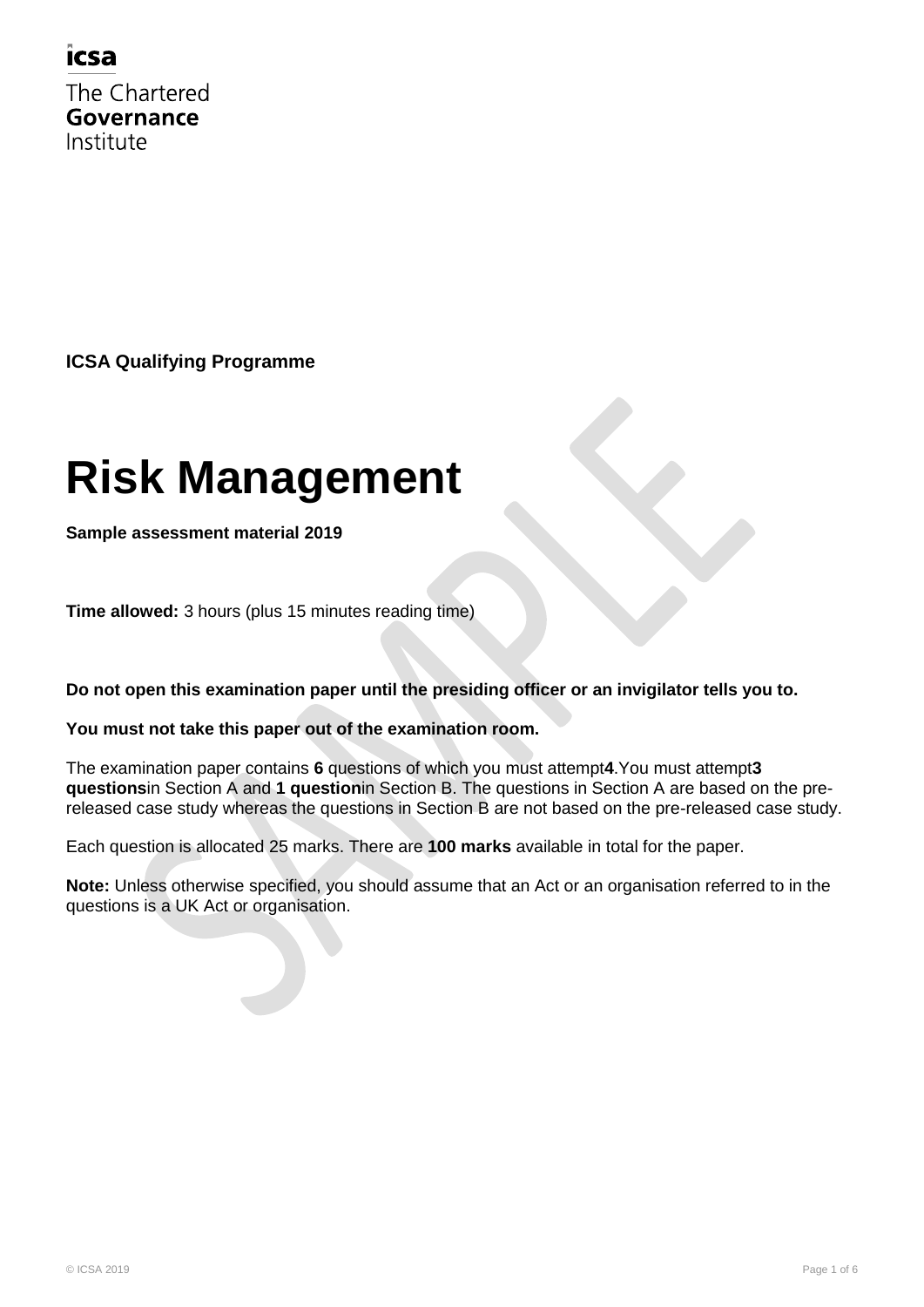### icsa

The Chartered Governance Institute

**ICSA Qualifying Programme**

# **Risk Management**

**Sample assessment material 2019**

**Time allowed:** 3 hours (plus 15 minutes reading time)

**Do not open this examination paper until the presiding officer or an invigilator tells you to.**

#### **You must not take this paper out of the examination room.**

The examination paper contains **6** questions of which you must attempt**4**.You must attempt**3 questions**in Section A and **1 question**in Section B. The questions in Section A are based on the prereleased case study whereas the questions in Section B are not based on the pre-released case study.

Each question is allocated 25 marks. There are **100 marks** available in total for the paper.

**Note:** Unless otherwise specified, you should assume that an Act or an organisation referred to in the questions is a UK Act or organisation.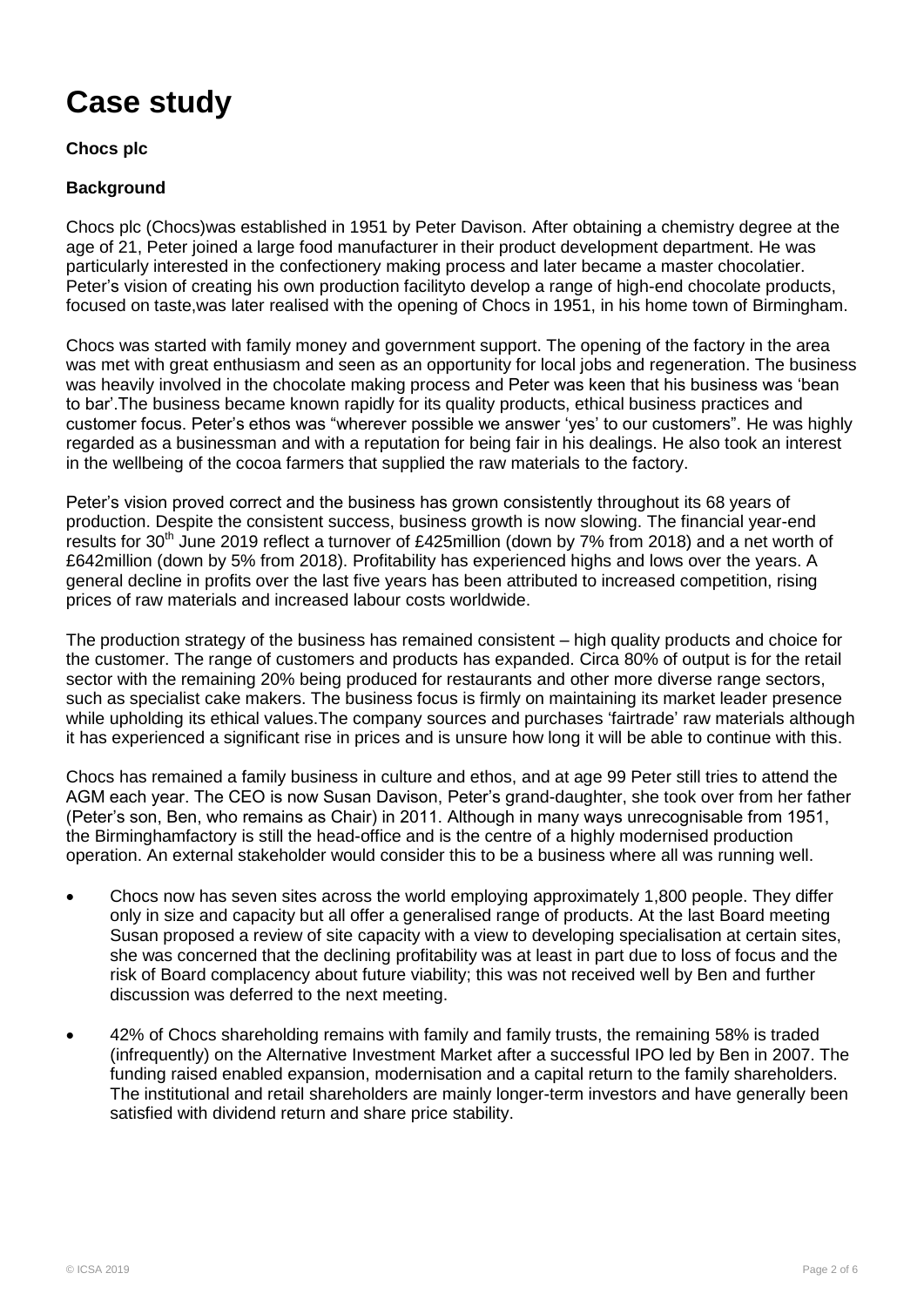# **Case study**

**Chocs plc** 

#### **Background**

Chocs plc (Chocs)was established in 1951 by Peter Davison. After obtaining a chemistry degree at the age of 21, Peter joined a large food manufacturer in their product development department. He was particularly interested in the confectionery making process and later became a master chocolatier. Peter's vision of creating his own production facilityto develop a range of high-end chocolate products, focused on taste,was later realised with the opening of Chocs in 1951, in his home town of Birmingham.

Chocs was started with family money and government support. The opening of the factory in the area was met with great enthusiasm and seen as an opportunity for local jobs and regeneration. The business was heavily involved in the chocolate making process and Peter was keen that his business was "bean to bar".The business became known rapidly for its quality products, ethical business practices and customer focus. Peter"s ethos was "wherever possible we answer "yes" to our customers". He was highly regarded as a businessman and with a reputation for being fair in his dealings. He also took an interest in the wellbeing of the cocoa farmers that supplied the raw materials to the factory.

Peter's vision proved correct and the business has grown consistently throughout its 68 years of production. Despite the consistent success, business growth is now slowing. The financial year-end results for 30<sup>th</sup> June 2019 reflect a turnover of £425million (down by 7% from 2018) and a net worth of £642million (down by 5% from 2018). Profitability has experienced highs and lows over the years. A general decline in profits over the last five years has been attributed to increased competition, rising prices of raw materials and increased labour costs worldwide.

The production strategy of the business has remained consistent – high quality products and choice for the customer. The range of customers and products has expanded. Circa 80% of output is for the retail sector with the remaining 20% being produced for restaurants and other more diverse range sectors, such as specialist cake makers. The business focus is firmly on maintaining its market leader presence while upholding its ethical values. The company sources and purchases 'fairtrade' raw materials although it has experienced a significant rise in prices and is unsure how long it will be able to continue with this.

Chocs has remained a family business in culture and ethos, and at age 99 Peter still tries to attend the AGM each year. The CEO is now Susan Davison, Peter"s grand-daughter, she took over from her father (Peter"s son, Ben, who remains as Chair) in 2011. Although in many ways unrecognisable from 1951, the Birminghamfactory is still the head-office and is the centre of a highly modernised production operation. An external stakeholder would consider this to be a business where all was running well.

- Chocs now has seven sites across the world employing approximately 1,800 people. They differ only in size and capacity but all offer a generalised range of products. At the last Board meeting Susan proposed a review of site capacity with a view to developing specialisation at certain sites, she was concerned that the declining profitability was at least in part due to loss of focus and the risk of Board complacency about future viability; this was not received well by Ben and further discussion was deferred to the next meeting.
- 42% of Chocs shareholding remains with family and family trusts, the remaining 58% is traded (infrequently) on the Alternative Investment Market after a successful IPO led by Ben in 2007. The funding raised enabled expansion, modernisation and a capital return to the family shareholders. The institutional and retail shareholders are mainly longer-term investors and have generally been satisfied with dividend return and share price stability.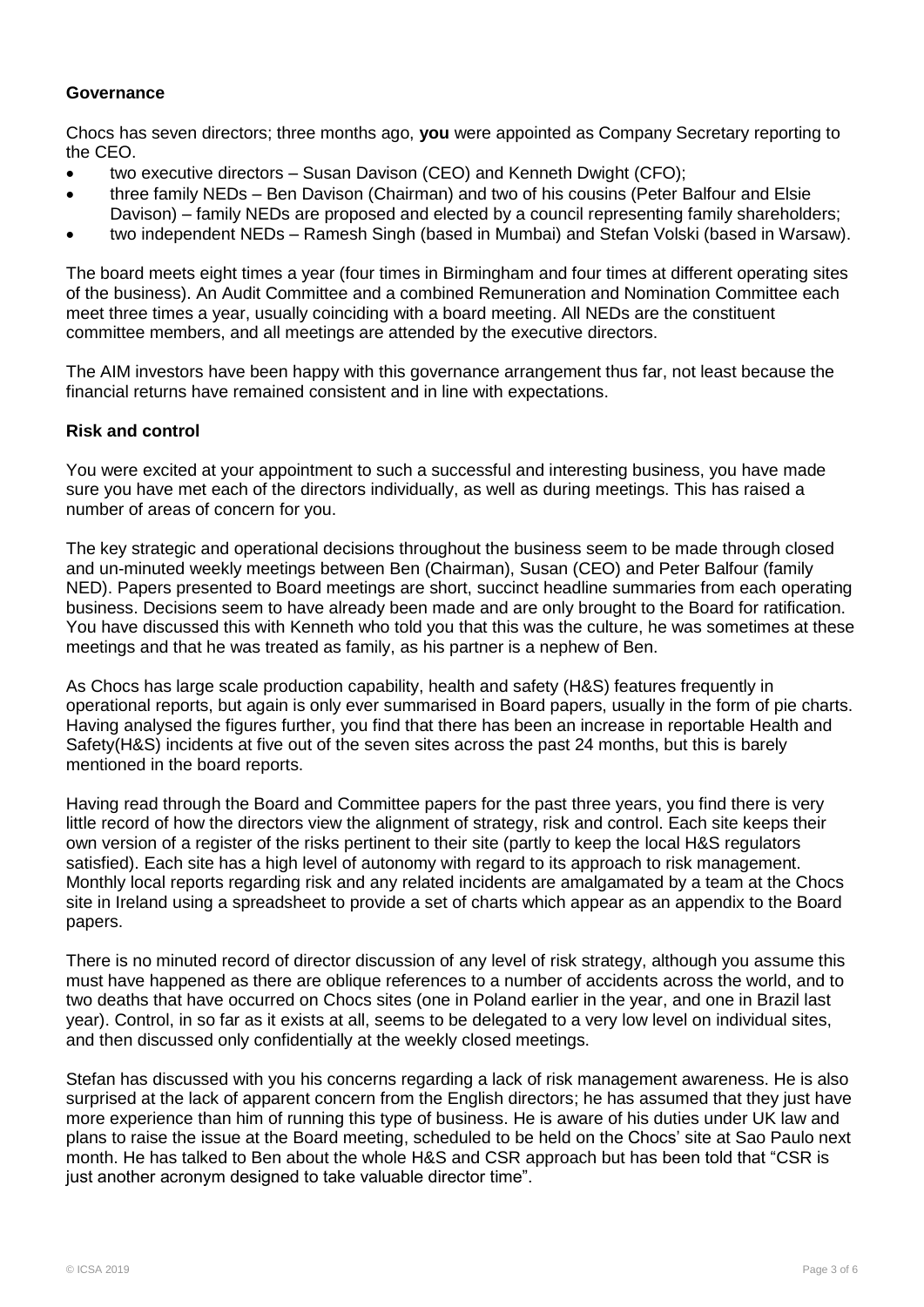#### **Governance**

Chocs has seven directors; three months ago, **you** were appointed as Company Secretary reporting to the CEO.

- two executive directors Susan Davison (CEO) and Kenneth Dwight (CFO);
- three family NEDs Ben Davison (Chairman) and two of his cousins (Peter Balfour and Elsie
- Davison) family NEDs are proposed and elected by a council representing family shareholders;
- two independent NEDs Ramesh Singh (based in Mumbai) and Stefan Volski (based in Warsaw).

The board meets eight times a year (four times in Birmingham and four times at different operating sites of the business). An Audit Committee and a combined Remuneration and Nomination Committee each meet three times a year, usually coinciding with a board meeting. All NEDs are the constituent committee members, and all meetings are attended by the executive directors.

The AIM investors have been happy with this governance arrangement thus far, not least because the financial returns have remained consistent and in line with expectations.

#### **Risk and control**

You were excited at your appointment to such a successful and interesting business, you have made sure you have met each of the directors individually, as well as during meetings. This has raised a number of areas of concern for you.

The key strategic and operational decisions throughout the business seem to be made through closed and un-minuted weekly meetings between Ben (Chairman), Susan (CEO) and Peter Balfour (family NED). Papers presented to Board meetings are short, succinct headline summaries from each operating business. Decisions seem to have already been made and are only brought to the Board for ratification. You have discussed this with Kenneth who told you that this was the culture, he was sometimes at these meetings and that he was treated as family, as his partner is a nephew of Ben.

As Chocs has large scale production capability, health and safety (H&S) features frequently in operational reports, but again is only ever summarised in Board papers, usually in the form of pie charts. Having analysed the figures further, you find that there has been an increase in reportable Health and Safety(H&S) incidents at five out of the seven sites across the past 24 months, but this is barely mentioned in the board reports.

Having read through the Board and Committee papers for the past three years, you find there is very little record of how the directors view the alignment of strategy, risk and control. Each site keeps their own version of a register of the risks pertinent to their site (partly to keep the local H&S regulators satisfied). Each site has a high level of autonomy with regard to its approach to risk management. Monthly local reports regarding risk and any related incidents are amalgamated by a team at the Chocs site in Ireland using a spreadsheet to provide a set of charts which appear as an appendix to the Board papers.

There is no minuted record of director discussion of any level of risk strategy, although you assume this must have happened as there are oblique references to a number of accidents across the world, and to two deaths that have occurred on Chocs sites (one in Poland earlier in the year, and one in Brazil last year). Control, in so far as it exists at all, seems to be delegated to a very low level on individual sites, and then discussed only confidentially at the weekly closed meetings.

Stefan has discussed with you his concerns regarding a lack of risk management awareness. He is also surprised at the lack of apparent concern from the English directors; he has assumed that they just have more experience than him of running this type of business. He is aware of his duties under UK law and plans to raise the issue at the Board meeting, scheduled to be held on the Chocs" site at Sao Paulo next month. He has talked to Ben about the whole H&S and CSR approach but has been told that "CSR is just another acronym designed to take valuable director time".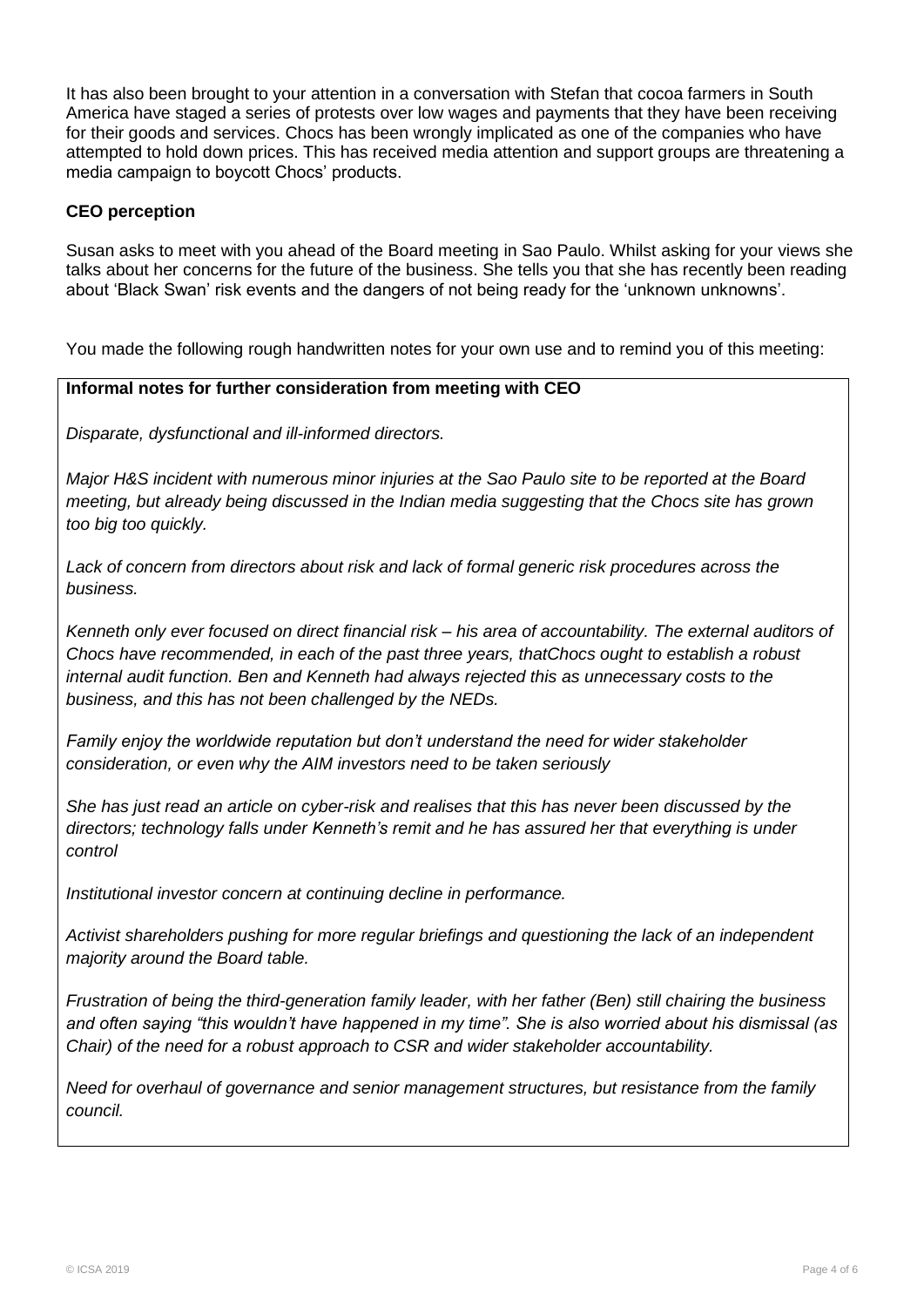It has also been brought to your attention in a conversation with Stefan that cocoa farmers in South America have staged a series of protests over low wages and payments that they have been receiving for their goods and services. Chocs has been wrongly implicated as one of the companies who have attempted to hold down prices. This has received media attention and support groups are threatening a media campaign to boycott Chocs" products.

#### **CEO perception**

Susan asks to meet with you ahead of the Board meeting in Sao Paulo. Whilst asking for your views she talks about her concerns for the future of the business. She tells you that she has recently been reading about 'Black Swan' risk events and the dangers of not being ready for the 'unknown unknowns'.

You made the following rough handwritten notes for your own use and to remind you of this meeting:

#### **Informal notes for further consideration from meeting with CEO**

*Disparate, dysfunctional and ill-informed directors.*

*Major H&S incident with numerous minor injuries at the Sao Paulo site to be reported at the Board meeting, but already being discussed in the Indian media suggesting that the Chocs site has grown too big too quickly.*

*Lack of concern from directors about risk and lack of formal generic risk procedures across the business.* 

*Kenneth only ever focused on direct financial risk – his area of accountability. The external auditors of Chocs have recommended, in each of the past three years, thatChocs ought to establish a robust internal audit function. Ben and Kenneth had always rejected this as unnecessary costs to the business, and this has not been challenged by the NEDs.*

*Family enjoy the worldwide reputation but don't understand the need for wider stakeholder consideration, or even why the AIM investors need to be taken seriously*

*She has just read an article on cyber-risk and realises that this has never been discussed by the directors; technology falls under Kenneth's remit and he has assured her that everything is under control*

*Institutional investor concern at continuing decline in performance.* 

*Activist shareholders pushing for more regular briefings and questioning the lack of an independent majority around the Board table.*

*Frustration of being the third-generation family leader, with her father (Ben) still chairing the business and often saying "this wouldn't have happened in my time". She is also worried about his dismissal (as Chair) of the need for a robust approach to CSR and wider stakeholder accountability.*

*Need for overhaul of governance and senior management structures, but resistance from the family council.*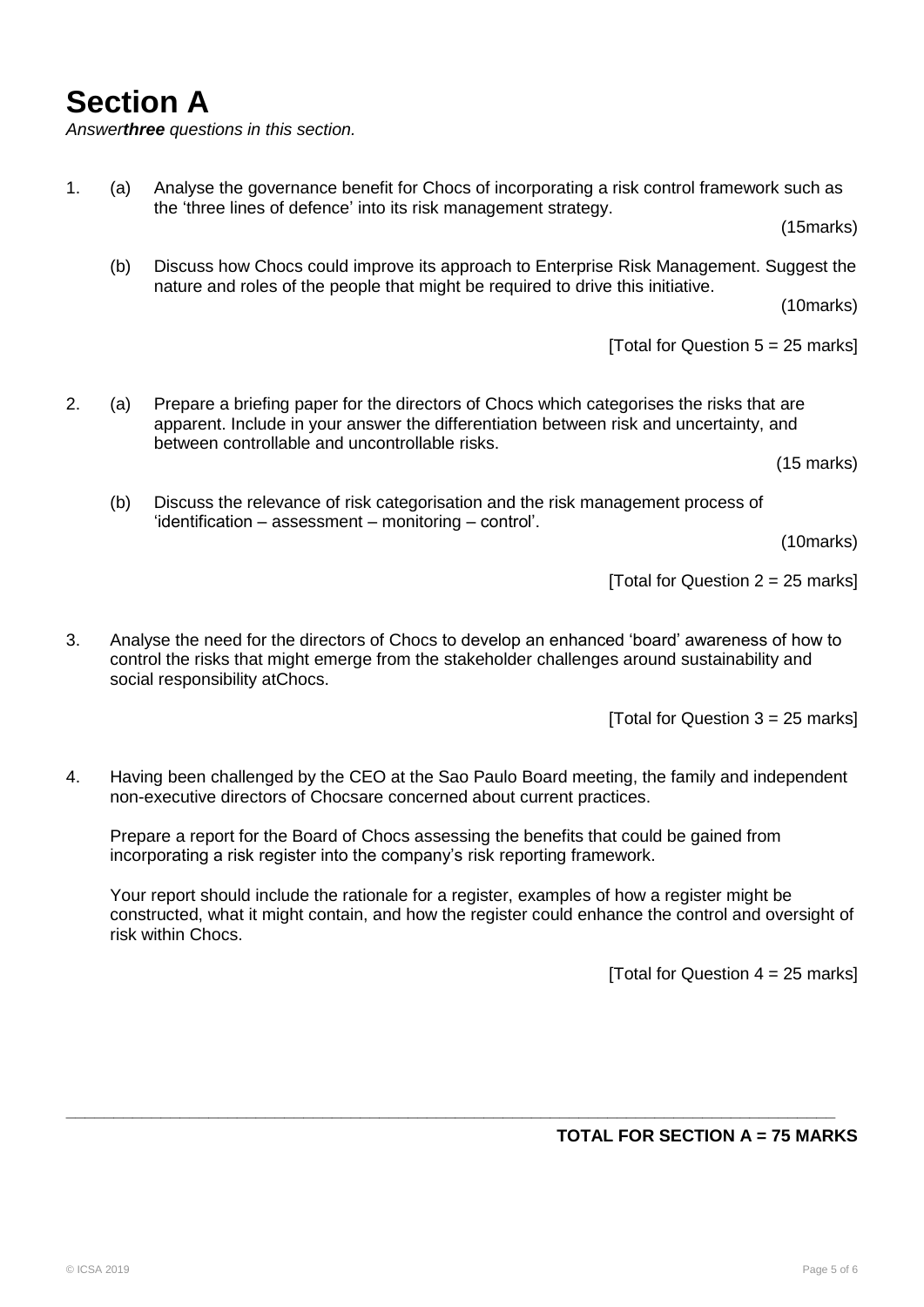## **Section A**

*Answerthree questions in this section.*

(15marks)

(b) Discuss how Chocs could improve its approach to Enterprise Risk Management. Suggest the nature and roles of the people that might be required to drive this initiative.

(10marks)

[Total for Question  $5 = 25$  marks]

2. (a) Prepare a briefing paper for the directors of Chocs which categorises the risks that are apparent. Include in your answer the differentiation between risk and uncertainty, and between controllable and uncontrollable risks.

(15 marks)

(b) Discuss the relevance of risk categorisation and the risk management process of 'identification – assessment – monitoring – control'.

(10marks)

[Total for Question  $2 = 25$  marks]

3. Analyse the need for the directors of Chocs to develop an enhanced "board" awareness of how to control the risks that might emerge from the stakeholder challenges around sustainability and social responsibility atChocs.

[Total for Question  $3 = 25$  marks]

4. Having been challenged by the CEO at the Sao Paulo Board meeting, the family and independent non-executive directors of Chocsare concerned about current practices.

Prepare a report for the Board of Chocs assessing the benefits that could be gained from incorporating a risk register into the company's risk reporting framework.

**\_\_\_\_\_\_\_\_\_\_\_\_\_\_\_\_\_\_\_\_\_\_\_\_\_\_\_\_\_\_\_\_\_\_\_\_\_\_\_\_\_\_\_\_\_\_\_\_\_\_\_\_\_\_\_\_\_\_\_\_\_\_\_\_\_\_\_\_\_\_\_\_\_\_\_\_\_\_\_\_\_**

Your report should include the rationale for a register, examples of how a register might be constructed, what it might contain, and how the register could enhance the control and oversight of risk within Chocs.

[Total for Question  $4 = 25$  marks]